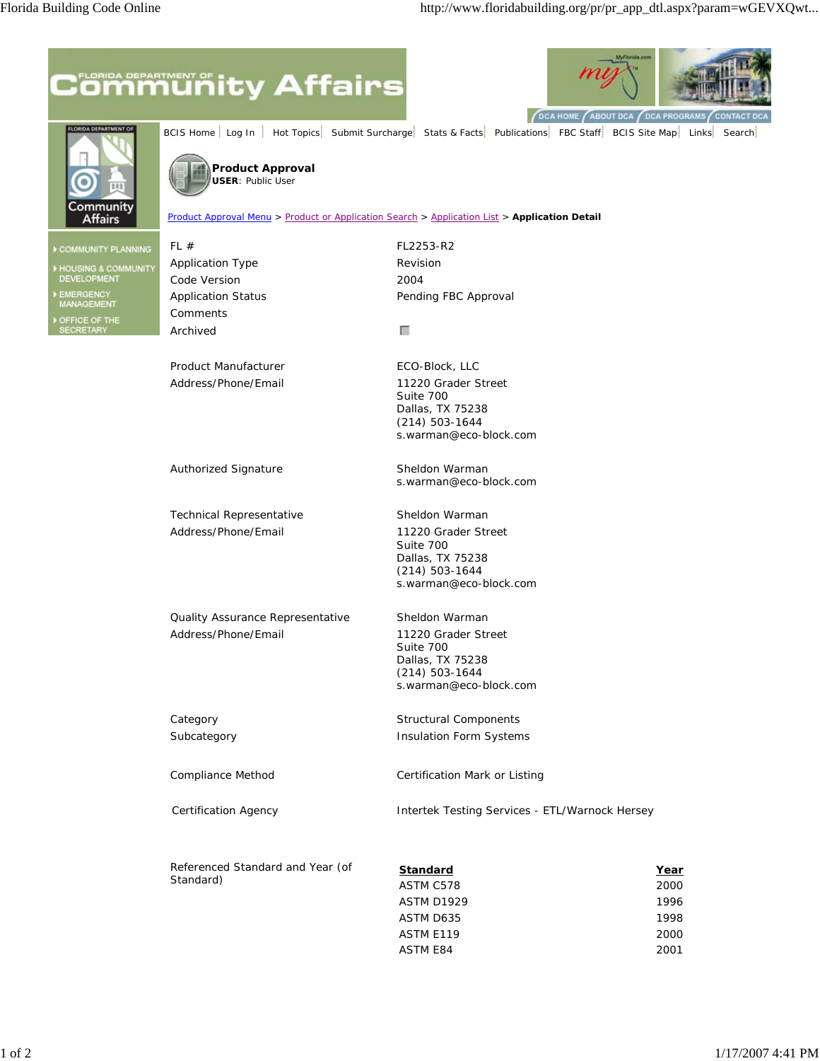## **ommunity Affairs**



Community **Affairs** 



**USER**: Public User

## Product Approval Menu > Product or Application Search > Application List > **Application Detail**

COMMUNITY PLANNING ▶ HOUSING & COMMUNITY<br>DEVELOPMENT EMERGENCY<br>MANAGEMENT

OFFICE OF THE **CRETARY** 

FL # FL2253-R2 Application Type **Revision** Revision Code Version 2004 Comments Archived  $\Box$ 

Application Status **Pending FBC Approval** 

s.warman@eco-block.com

s.warman@eco-block.com

s.warman@eco-block.com

s.warman@eco-block.com

BCIS Home Log In | Hot Topics Submit Surcharge Stats & Facts Publications FBC Staff BCIS Site Map Links Search

Suite 700 Dallas, TX 75238 (214) 503-1644

Suite 700 Dallas, TX 75238 (214) 503-1644

Suite 700 Dallas, TX 75238 (214) 503-1644

Product Manufacturer **ECO-Block**, LLC Address/Phone/Email 11220 Grader Street

Authorized Signature Sheldon Warman

Technical Representative **Sheldon Warman** Address/Phone/Email 11220 Grader Street

Quality Assurance Representative Sheldon Warman Address/Phone/Email 11220 Grader Street

Category **Category** Structural Components Subcategory **Insulation Form Systems** 

Compliance Method Certification Mark or Listing

Certification Agency Intertek Testing Services - ETL/Warnock Hersey

Referenced Standard and Year (of Standard)

| Standard   | Year |
|------------|------|
| ASTM C578  | 2000 |
| ASTM D1929 | 1996 |
| ASTM D635  | 1998 |
| ASTM F119  | 2000 |
| ASTM F84   | 2001 |